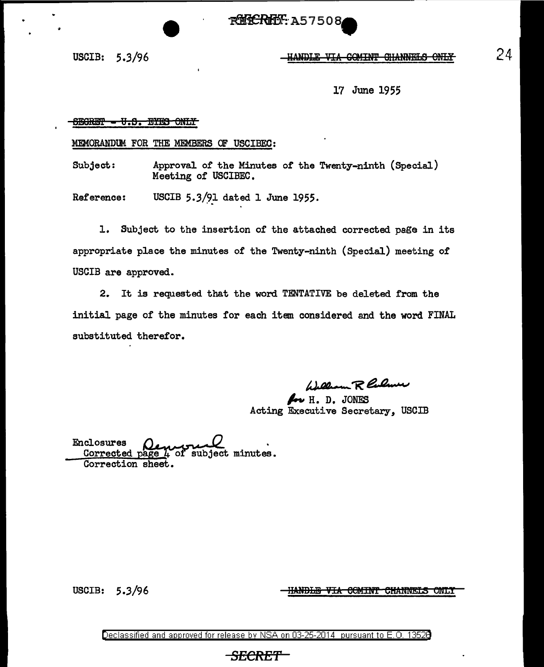**RUCRET: A57508** 

## USCIB: 5.3/96 - HANDLE VIA COMINT GHANNELS ONLY

17 June 1955

## $6$  BGRET  $0.3$ . EYES ONLY

MEMORANDtM FOR THE MEMBERS OF USCIBEC:

Subject: Approval of the Minutes of the Twenty-ninth (Special) Meeting of USCIBEC.

Reference: USCIB  $5.3/91$  dated 1 June 1955.

1. Subject to the insertion of the attached corrected page in its appropriate place the minutes of the Twenty-ninth (Special) meeting of USCIB are approved.

2. It is requested that the word TENTATIVE be deleted from the initial page of the minutes for each item considered and the word FINAL substituted therefor.

/J.4---~£ **4. •** ..,\_\_,

 $\mathcal{L}_{\mathcal{V}}$  H. D. JONES Acting Executive Secretary, USCIB

Enclosures *()* ~ . ~ \_ ~ ~ . Corrected page 4 of subject minutes.<br>Correction sheet.

USCIB: 5.3/96

<del>HANDLE VIA COMINT CHANNEIS ONLY</del>

24

Declassified and approved for release by NSA on 03-25-2014 pursuant to E. 0. 1352B